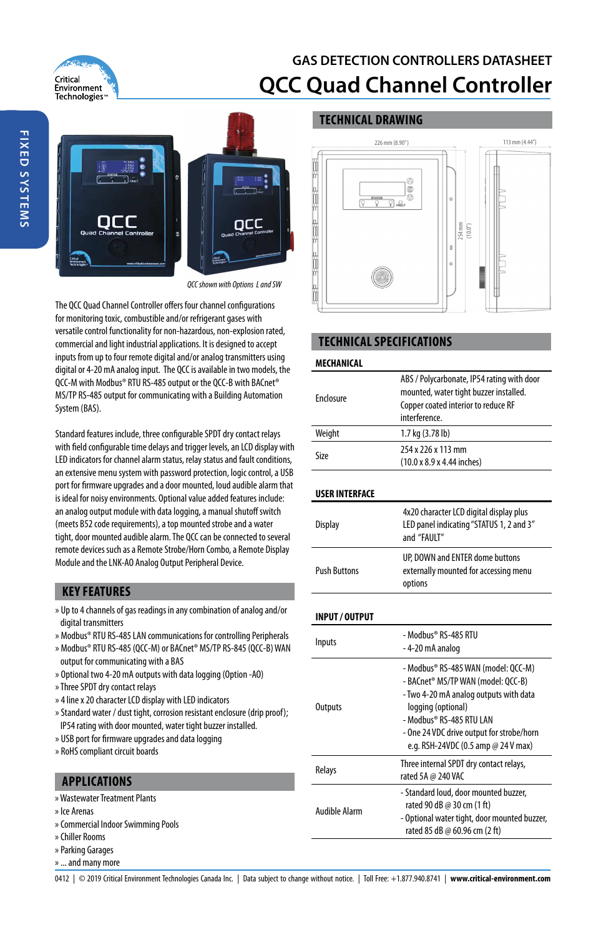

# **GAS DETECTION CONTROLLERS DATASHEET QCC Quad Channel Controller**

# occ

QCC shown with Options L and SW

The QCC Quad Channel Controller offers four channel configurations for monitoring toxic, combustible and/or refrigerant gases with versatile control functionality for non-hazardous, non-explosion rated, commercial and light industrial applications. It is designed to accept inputs from up to four remote digital and/or analog transmitters using digital or 4-20 mA analog input. The QCC is available in two models, the QCC-M with Modbus® RTU RS-485 output or the QCC-B with BACnet® MS/TP RS-485 output for communicating with a Building Automation System (BAS).

Standard features include, three configurable SPDT dry contact relays with field configurable time delays and trigger levels, an LCD display with LED indicators for channel alarm status, relay status and fault conditions, an extensive menu system with password protection, logic control, a USB port for firmware upgrades and a door mounted, loud audible alarm that is ideal for noisy environments. Optional value added features include: an analog output module with data logging, a manual shutoff switch (meets B52 code requirements), a top mounted strobe and a water tight, door mounted audible alarm. The QCC can be connected to several remote devices such as a Remote Strobe/Horn Combo, a Remote Display Module and the LNK-AO Analog Output Peripheral Device.

## **KEY FEATURES**

- » Up to 4 channels of gas readings in any combination of analog and/or digital transmitters
- » Modbus® RTU RS-485 LAN communications for controlling Peripherals
- » Modbus® RTU RS-485 (QCC-M) or BACnet® MS/TP RS-845 (QCC-B) WAN output for communicating with a BAS
- » Optional two 4-20 mA outputs with data logging (Option -AO)
- » Three SPDT dry contact relays
- » 4 line x 20 character LCD display with LED indicators
- » Standard water / dust tight, corrosion resistant enclosure (drip proof); IP54 rating with door mounted, water tight buzzer installed.
- » USB port for firmware upgrades and data logging
- » RoHS compliant circuit boards

## **APPLICATIONS**

- » Wastewater Treatment Plants
- » Ice Arenas
- » Commercial Indoor Swimming Pools
- » Chiller Rooms
- » Parking Garages
- » ... and many more

# **TECHNICAL DRAWING**



# **TECHNICAL SPECIFICATIONS**

#### **MECHANICAL**

| Enclosure             | ABS / Polycarbonate, IP54 rating with door<br>mounted, water tight buzzer installed.<br>Copper coated interior to reduce RF<br>interference                                                                                                               |
|-----------------------|-----------------------------------------------------------------------------------------------------------------------------------------------------------------------------------------------------------------------------------------------------------|
| Weight                | 1.7 kg (3.78 lb)                                                                                                                                                                                                                                          |
| Size                  | 254 x 226 x 113 mm<br>(10.0 x 8.9 x 4.44 inches)                                                                                                                                                                                                          |
| <b>USER INTERFACE</b> |                                                                                                                                                                                                                                                           |
| <b>Display</b>        | 4x20 character LCD digital display plus<br>LED panel indicating "STATUS 1, 2 and 3"<br>and "FAULT"                                                                                                                                                        |
| <b>Push Buttons</b>   | UP, DOWN and ENTER dome buttons<br>externally mounted for accessing menu<br>options                                                                                                                                                                       |
| <b>INPUT/OUTPUT</b>   |                                                                                                                                                                                                                                                           |
| Inputs                | - Modbus® RS-485 RTU<br>-4-20 mA analog                                                                                                                                                                                                                   |
| <b>Outputs</b>        | - Modbus® RS-485 WAN (model: OCC-M)<br>- BACnet® MS/TP WAN (model: OCC-B)<br>- Two 4-20 mA analog outputs with data<br>logging (optional)<br>- Modbus® RS-485 RTU LAN<br>- One 24 VDC drive output for strobe/horn<br>e.g. RSH-24VDC (0.5 amp @ 24 V max) |
| Relays                | Three internal SPDT dry contact relays,<br>rated 5A @ 240 VAC                                                                                                                                                                                             |
| <b>Audible Alarm</b>  | - Standard loud, door mounted buzzer,<br>rated 90 dB @ 30 cm (1 ft)<br>- Optional water tight, door mounted buzzer.                                                                                                                                       |

rated 85 dB @ 60.96 cm (2 ft)

**FIXED SYSTEMS FIXED SYSTEMS**

0412 | © 2019 Critical Environment Technologies Canada Inc. | Data subject to change without notice. | Toll Free: +1.877.940.8741 | **www.critical-environment.com**